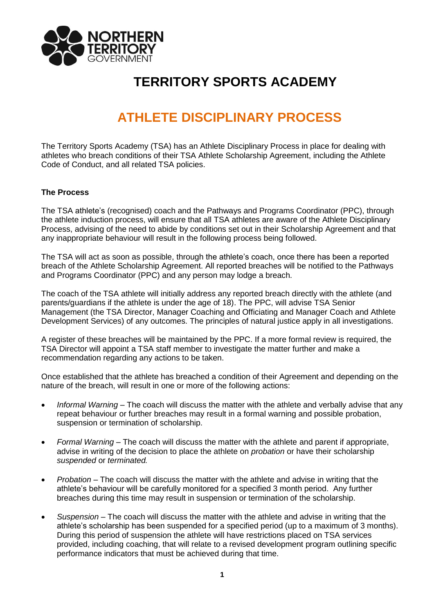

## **TERRITORY SPORTS ACADEMY**

## **ATHLETE DISCIPLINARY PROCESS**

The Territory Sports Academy (TSA) has an Athlete Disciplinary Process in place for dealing with athletes who breach conditions of their TSA Athlete Scholarship Agreement, including the Athlete Code of Conduct, and all related TSA policies.

## **The Process**

The TSA athlete's (recognised) coach and the Pathways and Programs Coordinator (PPC), through the athlete induction process, will ensure that all TSA athletes are aware of the Athlete Disciplinary Process, advising of the need to abide by conditions set out in their Scholarship Agreement and that any inappropriate behaviour will result in the following process being followed.

The TSA will act as soon as possible, through the athlete's coach, once there has been a reported breach of the Athlete Scholarship Agreement. All reported breaches will be notified to the Pathways and Programs Coordinator (PPC) and any person may lodge a breach.

The coach of the TSA athlete will initially address any reported breach directly with the athlete (and parents/guardians if the athlete is under the age of 18). The PPC, will advise TSA Senior Management (the TSA Director, Manager Coaching and Officiating and Manager Coach and Athlete Development Services) of any outcomes. The principles of natural justice apply in all investigations.

A register of these breaches will be maintained by the PPC. If a more formal review is required, the TSA Director will appoint a TSA staff member to investigate the matter further and make a recommendation regarding any actions to be taken.

Once established that the athlete has breached a condition of their Agreement and depending on the nature of the breach, will result in one or more of the following actions:

- *Informal Warning* The coach will discuss the matter with the athlete and verbally advise that any repeat behaviour or further breaches may result in a formal warning and possible probation, suspension or termination of scholarship.
- *Formal Warning* The coach will discuss the matter with the athlete and parent if appropriate, advise in writing of the decision to place the athlete on *probation* or have their scholarship *suspended* or *terminated.*
- *Probation* The coach will discuss the matter with the athlete and advise in writing that the athlete's behaviour will be carefully monitored for a specified 3 month period. Any further breaches during this time may result in suspension or termination of the scholarship.
- *Suspension* The coach will discuss the matter with the athlete and advise in writing that the athlete's scholarship has been suspended for a specified period (up to a maximum of 3 months). During this period of suspension the athlete will have restrictions placed on TSA services provided, including coaching, that will relate to a revised development program outlining specific performance indicators that must be achieved during that time.